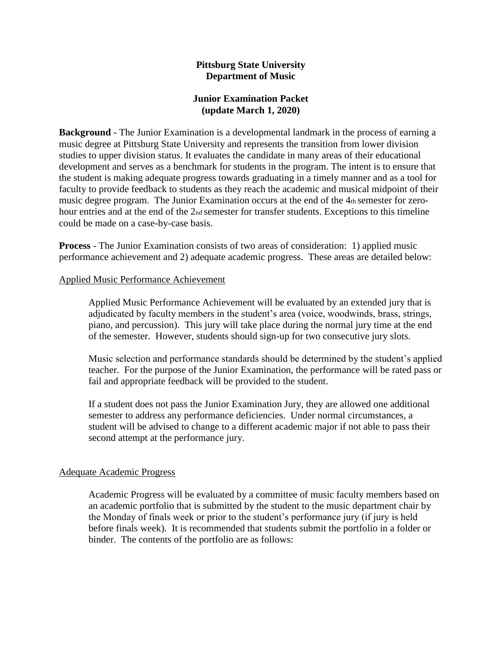### **Pittsburg State University Department of Music**

### **Junior Examination Packet (update March 1, 2020)**

**Background** - The Junior Examination is a developmental landmark in the process of earning a music degree at Pittsburg State University and represents the transition from lower division studies to upper division status. It evaluates the candidate in many areas of their educational development and serves as a benchmark for students in the program. The intent is to ensure that the student is making adequate progress towards graduating in a timely manner and as a tool for faculty to provide feedback to students as they reach the academic and musical midpoint of their music degree program. The Junior Examination occurs at the end of the 4th semester for zerohour entries and at the end of the 2<sub>nd</sub> semester for transfer students. Exceptions to this timeline could be made on a case-by-case basis.

**Process** - The Junior Examination consists of two areas of consideration: 1) applied music performance achievement and 2) adequate academic progress. These areas are detailed below:

### Applied Music Performance Achievement

Applied Music Performance Achievement will be evaluated by an extended jury that is adjudicated by faculty members in the student's area (voice, woodwinds, brass, strings, piano, and percussion). This jury will take place during the normal jury time at the end of the semester. However, students should sign-up for two consecutive jury slots.

Music selection and performance standards should be determined by the student's applied teacher. For the purpose of the Junior Examination, the performance will be rated pass or fail and appropriate feedback will be provided to the student.

If a student does not pass the Junior Examination Jury, they are allowed one additional semester to address any performance deficiencies. Under normal circumstances, a student will be advised to change to a different academic major if not able to pass their second attempt at the performance jury.

#### Adequate Academic Progress

Academic Progress will be evaluated by a committee of music faculty members based on an academic portfolio that is submitted by the student to the music department chair by the Monday of finals week or prior to the student's performance jury (if jury is held before finals week). It is recommended that students submit the portfolio in a folder or binder. The contents of the portfolio are as follows: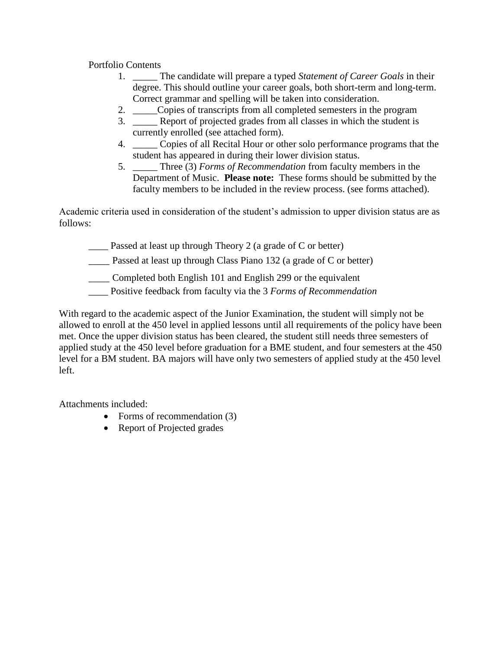Portfolio Contents

- 1. \_\_\_\_\_ The candidate will prepare a typed *Statement of Career Goals* in their degree. This should outline your career goals, both short-term and long-term. Correct grammar and spelling will be taken into consideration.
- 2. \_\_\_\_\_Copies of transcripts from all completed semesters in the program
- 3. \_\_\_\_\_ Report of projected grades from all classes in which the student is currently enrolled (see attached form).
- 4. \_\_\_\_\_ Copies of all Recital Hour or other solo performance programs that the student has appeared in during their lower division status.
- 5. \_\_\_\_\_ Three (3) *Forms of Recommendation* from faculty members in the Department of Music. **Please note:** These forms should be submitted by the faculty members to be included in the review process. (see forms attached).

Academic criteria used in consideration of the student's admission to upper division status are as follows:

\_\_\_\_ Passed at least up through Theory 2 (a grade of C or better)

- Passed at least up through Class Piano 132 (a grade of C or better)
- \_\_\_\_\_ Completed both English 101 and English 299 or the equivalent
- \_\_\_\_ Positive feedback from faculty via the 3 *Forms of Recommendation*

With regard to the academic aspect of the Junior Examination, the student will simply not be allowed to enroll at the 450 level in applied lessons until all requirements of the policy have been met. Once the upper division status has been cleared, the student still needs three semesters of applied study at the 450 level before graduation for a BME student, and four semesters at the 450 level for a BM student. BA majors will have only two semesters of applied study at the 450 level left.

Attachments included:

- Forms of recommendation (3)
- Report of Projected grades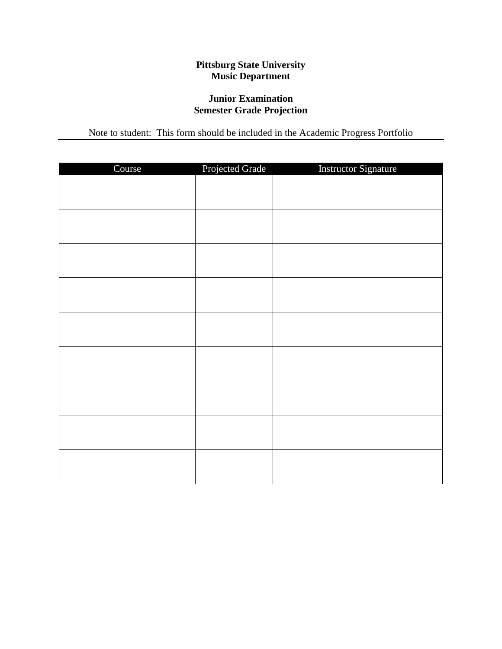## **Pittsburg State University Music Department**

### **Junior Examination Semester Grade Projection**

Note to student: This form should be included in the Academic Progress Portfolio

| Course | Projected Grade | <b>Instructor Signature</b> |
|--------|-----------------|-----------------------------|
|        |                 |                             |
|        |                 |                             |
|        |                 |                             |
|        |                 |                             |
|        |                 |                             |
|        |                 |                             |
|        |                 |                             |
|        |                 |                             |
|        |                 |                             |
|        |                 |                             |
|        |                 |                             |
|        |                 |                             |
|        |                 |                             |
|        |                 |                             |
|        |                 |                             |
|        |                 |                             |
|        |                 |                             |
|        |                 |                             |
|        |                 |                             |
|        |                 |                             |
|        |                 |                             |
|        |                 |                             |
|        |                 |                             |
|        |                 |                             |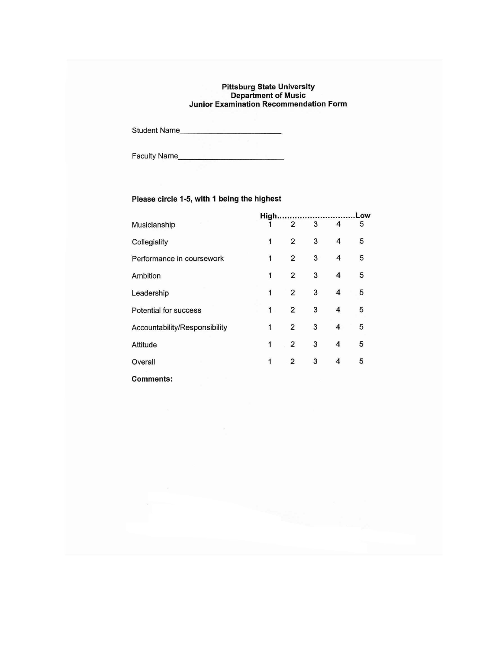# Pittsburg State University<br>Department of Music<br>Junior Examination Recommendation Form

### Please circle 1-5, with 1 being the highest

|                               | High.        |                         |   |   | Low |  |  |
|-------------------------------|--------------|-------------------------|---|---|-----|--|--|
| Musicianship                  |              | 2                       | 3 | 4 | 5   |  |  |
| Collegiality                  | 1            | $\overline{2}$          | 3 | 4 | 5   |  |  |
| Performance in coursework     | 1            | $\overline{2}$          | 3 | 4 | 5   |  |  |
| Ambition                      | 1            | $\overline{\mathbf{c}}$ | 3 | 4 | 5   |  |  |
| Leadership                    | 1            | $\overline{2}$          | 3 | 4 | 5   |  |  |
| Potential for success         | 1            | $\overline{2}$          | 3 | 4 | 5   |  |  |
| Accountability/Responsibility | $\mathbf{1}$ | $\overline{2}$          | 3 | 4 | 5   |  |  |
| Attitude                      | 1            | $\overline{c}$          | 3 | 4 | 5   |  |  |
| Overall                       | 1            | 2                       | 3 | 4 | 5   |  |  |
| <b>Comments:</b>              |              |                         |   |   |     |  |  |

 $\approx$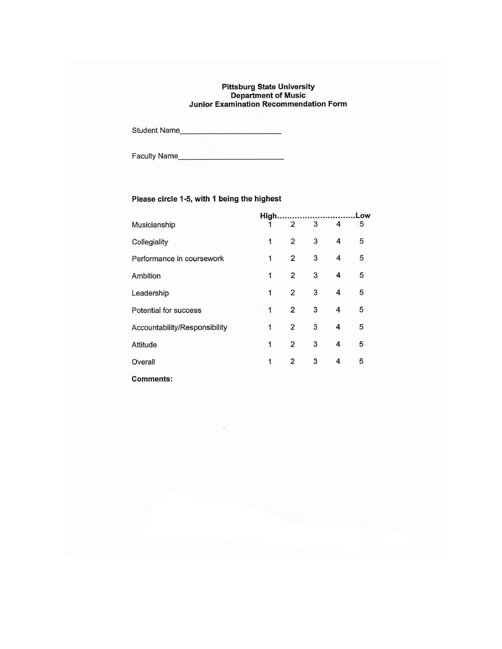# Pittsburg State University<br>Department of Music<br>Junior Examination Recommendation Form

Student Name

### Please circle 1-5, with 1 being the highest

|                               | High |                         |   |   | Low |  |  |
|-------------------------------|------|-------------------------|---|---|-----|--|--|
| Musicianship                  |      | 2                       | 3 | 4 | 5   |  |  |
| Collegiality                  | 1    | 2                       | 3 | 4 | 5   |  |  |
| Performance in coursework     | 1    | $\overline{2}$          | 3 | 4 | 5   |  |  |
| <b>Ambition</b>               | 1    | 2                       | 3 | 4 | 5   |  |  |
| Leadership                    | 1    | 2                       | 3 | 4 | 5   |  |  |
| Potential for success         | 1    | $\overline{\mathbf{c}}$ | 3 | 4 | 5   |  |  |
| Accountability/Responsibility | 1    | $\overline{2}$          | 3 | 4 | 5   |  |  |
| Attitude                      | 1    | $\overline{2}$          | 3 | 4 | 5   |  |  |
| Overall                       | 1    | 2                       | 3 | 4 | 5   |  |  |
| <b>Comments:</b>              |      |                         |   |   |     |  |  |

 $\sim$   $\,$